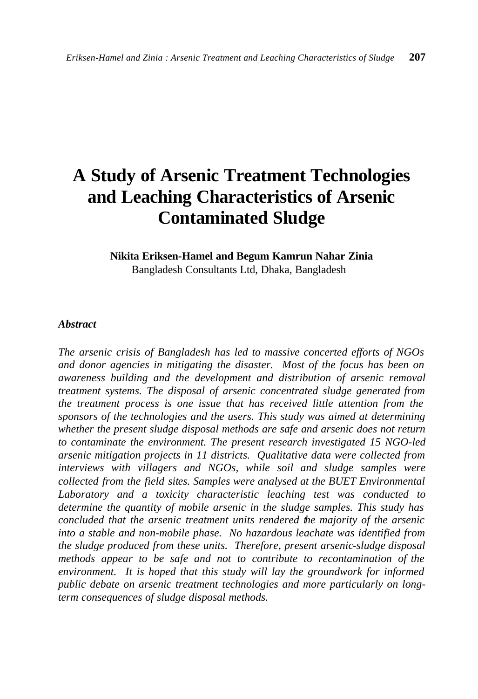# **A Study of Arsenic Treatment Technologies and Leaching Characteristics of Arsenic Contaminated Sludge**

# **Nikita Eriksen-Hamel and Begum Kamrun Nahar Zinia**

Bangladesh Consultants Ltd, Dhaka, Bangladesh

#### *Abstract*

*The arsenic crisis of Bangladesh has led to massive concerted efforts of NGOs and donor agencies in mitigating the disaster. Most of the focus has been on awareness building and the development and distribution of arsenic removal treatment systems. The disposal of arsenic concentrated sludge generated from the treatment process is one issue that has received little attention from the sponsors of the technologies and the users. This study was aimed at determining whether the present sludge disposal methods are safe and arsenic does not return to contaminate the environment. The present research investigated 15 NGO-led arsenic mitigation projects in 11 districts. Qualitative data were collected from interviews with villagers and NGOs, while soil and sludge samples were collected from the field sites. Samples were analysed at the BUET Environmental Laboratory and a toxicity characteristic leaching test was conducted to determine the quantity of mobile arsenic in the sludge samples. This study has concluded that the arsenic treatment units rendered the majority of the arsenic into a stable and non-mobile phase. No hazardous leachate was identified from the sludge produced from these units. Therefore, present arsenic-sludge disposal methods appear to be safe and not to contribute to recontamination of the environment. It is hoped that this study will lay the groundwork for informed public debate on arsenic treatment technologies and more particularly on longterm consequences of sludge disposal methods.*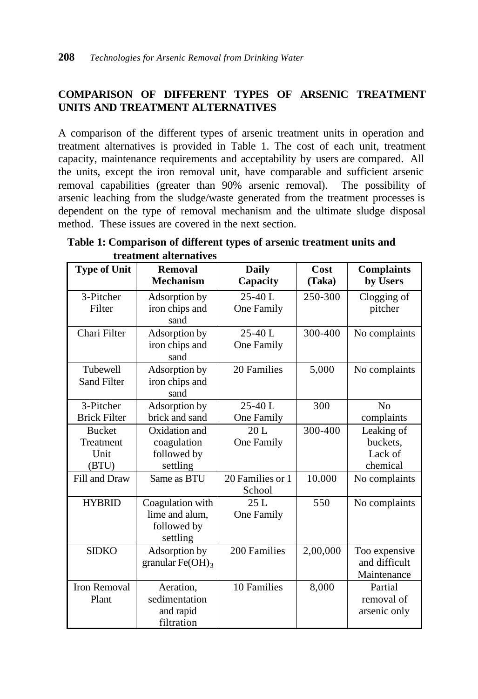## **COMPARISON OF DIFFERENT TYPES OF ARSENIC TREATMENT UNITS AND TREATMENT ALTERNATIVES**

A comparison of the different types of arsenic treatment units in operation and treatment alternatives is provided in Table 1. The cost of each unit, treatment capacity, maintenance requirements and acceptability by users are compared. All the units, except the iron removal unit, have comparable and sufficient arsenic removal capabilities (greater than 90% arsenic removal). The possibility of arsenic leaching from the sludge/waste generated from the treatment processes is dependent on the type of removal mechanism and the ultimate sludge disposal method. These issues are covered in the next section.

| <b>Type of Unit</b>                         | Removal<br><b>Mechanism</b>                                   | <b>Daily</b><br>Capacity   | Cost<br>(Taka) | <b>Complaints</b><br>by Users                 |
|---------------------------------------------|---------------------------------------------------------------|----------------------------|----------------|-----------------------------------------------|
| 3-Pitcher<br>Filter                         | Adsorption by<br>iron chips and<br>sand                       | $25-40$ L<br>One Family    | 250-300        | Clogging of<br>pitcher                        |
| Chari Filter                                | Adsorption by<br>iron chips and<br>sand                       | $25-40$ L<br>One Family    | 300-400        | No complaints                                 |
| Tubewell<br><b>Sand Filter</b>              | Adsorption by<br>iron chips and<br>sand                       | 20 Families                | 5,000          | No complaints                                 |
| 3-Pitcher<br><b>Brick Filter</b>            | Adsorption by<br>brick and sand                               | $25-40$ L<br>One Family    | 300            | $\rm No$<br>complaints                        |
| <b>Bucket</b><br>Treatment<br>Unit<br>(BTU) | Oxidation and<br>coagulation<br>followed by<br>settling       | 20L<br>One Family          | 300-400        | Leaking of<br>buckets,<br>Lack of<br>chemical |
| Fill and Draw                               | Same as BTU                                                   | 20 Families or 1<br>School | 10,000         | No complaints                                 |
| <b>HYBRID</b>                               | Coagulation with<br>lime and alum,<br>followed by<br>settling | 25L<br>One Family          | 550            | No complaints                                 |
| <b>SIDKO</b>                                | Adsorption by<br>granular $Fe(OH)_3$                          | 200 Families               | 2,00,000       | Too expensive<br>and difficult<br>Maintenance |
| <b>Iron Removal</b><br>Plant                | Aeration,<br>sedimentation<br>and rapid<br>filtration         | 10 Families                | 8,000          | Partial<br>removal of<br>arsenic only         |

**Table 1: Comparison of different types of arsenic treatment units and treatment alternatives**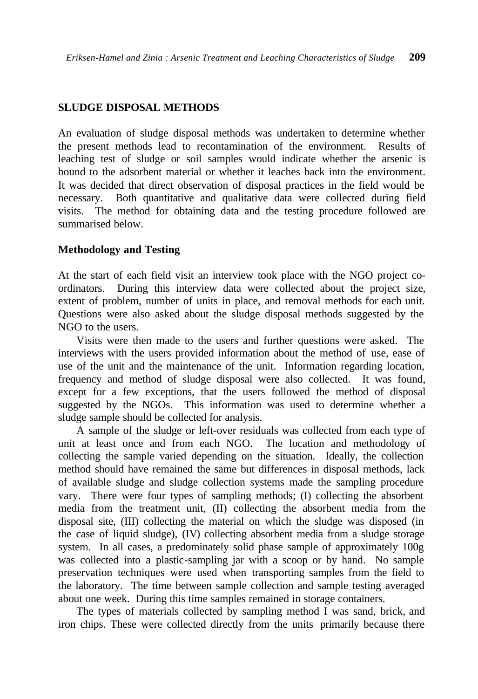#### **SLUDGE DISPOSAL METHODS**

An evaluation of sludge disposal methods was undertaken to determine whether the present methods lead to recontamination of the environment. Results of leaching test of sludge or soil samples would indicate whether the arsenic is bound to the adsorbent material or whether it leaches back into the environment. It was decided that direct observation of disposal practices in the field would be necessary. Both quantitative and qualitative data were collected during field visits. The method for obtaining data and the testing procedure followed are summarised below.

#### **Methodology and Testing**

At the start of each field visit an interview took place with the NGO project coordinators. During this interview data were collected about the project size, extent of problem, number of units in place, and removal methods for each unit. Questions were also asked about the sludge disposal methods suggested by the NGO to the users.

Visits were then made to the users and further questions were asked. The interviews with the users provided information about the method of use, ease of use of the unit and the maintenance of the unit. Information regarding location, frequency and method of sludge disposal were also collected. It was found, except for a few exceptions, that the users followed the method of disposal suggested by the NGOs. This information was used to determine whether a sludge sample should be collected for analysis.

A sample of the sludge or left-over residuals was collected from each type of unit at least once and from each NGO. The location and methodology of collecting the sample varied depending on the situation. Ideally, the collection method should have remained the same but differences in disposal methods, lack of available sludge and sludge collection systems made the sampling procedure vary. There were four types of sampling methods; (I) collecting the absorbent media from the treatment unit, (II) collecting the absorbent media from the disposal site, (III) collecting the material on which the sludge was disposed (in the case of liquid sludge), (IV) collecting absorbent media from a sludge storage system. In all cases, a predominately solid phase sample of approximately 100g was collected into a plastic-sampling jar with a scoop or by hand. No sample preservation techniques were used when transporting samples from the field to the laboratory. The time between sample collection and sample testing averaged about one week. During this time samples remained in storage containers.

The types of materials collected by sampling method I was sand, brick, and iron chips. These were collected directly from the units primarily because there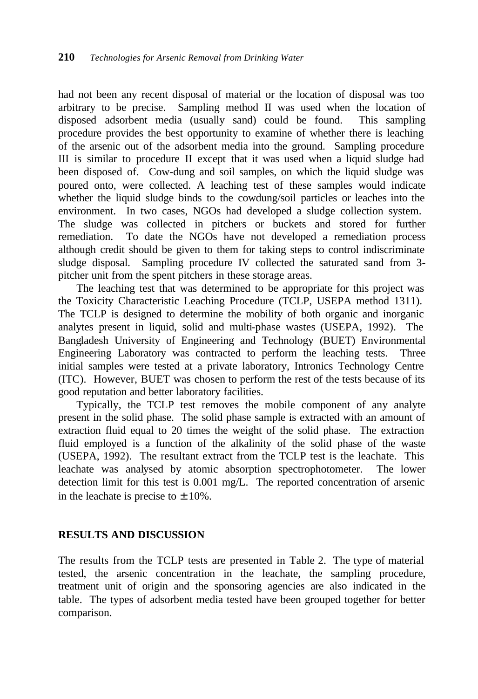had not been any recent disposal of material or the location of disposal was too arbitrary to be precise. Sampling method II was used when the location of disposed adsorbent media (usually sand) could be found. This sampling procedure provides the best opportunity to examine of whether there is leaching of the arsenic out of the adsorbent media into the ground. Sampling procedure III is similar to procedure II except that it was used when a liquid sludge had been disposed of. Cow-dung and soil samples, on which the liquid sludge was poured onto, were collected. A leaching test of these samples would indicate whether the liquid sludge binds to the cowdung/soil particles or leaches into the environment. In two cases, NGOs had developed a sludge collection system. The sludge was collected in pitchers or buckets and stored for further remediation. To date the NGOs have not developed a remediation process although credit should be given to them for taking steps to control indiscriminate sludge disposal. Sampling procedure IV collected the saturated sand from 3 pitcher unit from the spent pitchers in these storage areas.

The leaching test that was determined to be appropriate for this project was the Toxicity Characteristic Leaching Procedure (TCLP, USEPA method 1311). The TCLP is designed to determine the mobility of both organic and inorganic analytes present in liquid, solid and multi-phase wastes (USEPA, 1992). The Bangladesh University of Engineering and Technology (BUET) Environmental Engineering Laboratory was contracted to perform the leaching tests. Three initial samples were tested at a private laboratory, Intronics Technology Centre (ITC). However, BUET was chosen to perform the rest of the tests because of its good reputation and better laboratory facilities.

Typically, the TCLP test removes the mobile component of any analyte present in the solid phase. The solid phase sample is extracted with an amount of extraction fluid equal to 20 times the weight of the solid phase. The extraction fluid employed is a function of the alkalinity of the solid phase of the waste (USEPA, 1992). The resultant extract from the TCLP test is the leachate. This leachate was analysed by atomic absorption spectrophotometer. The lower detection limit for this test is 0.001 mg/L. The reported concentration of arsenic in the leachate is precise to  $\pm 10\%$ .

#### **RESULTS AND DISCUSSION**

The results from the TCLP tests are presented in Table 2. The type of material tested, the arsenic concentration in the leachate, the sampling procedure, treatment unit of origin and the sponsoring agencies are also indicated in the table. The types of adsorbent media tested have been grouped together for better comparison.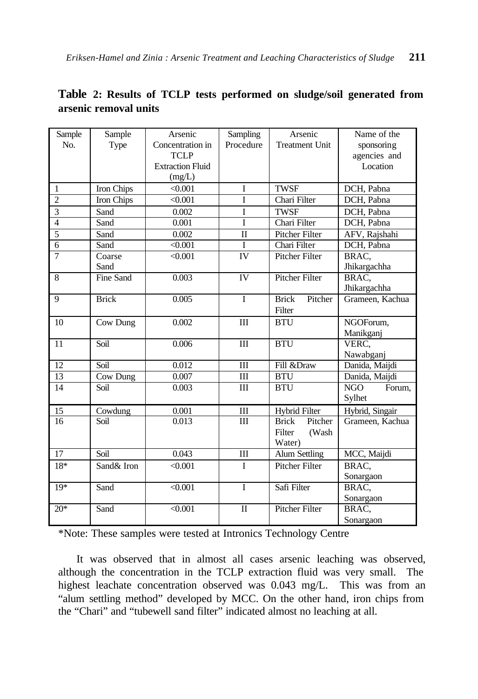| Sample          | Sample          | Arsenic                 | Sampling            | Arsenic                 | Name of the          |  |  |
|-----------------|-----------------|-------------------------|---------------------|-------------------------|----------------------|--|--|
| No.             | Type            | Concentration in        | Procedure           | <b>Treatment Unit</b>   | sponsoring           |  |  |
|                 |                 | <b>TCLP</b>             |                     |                         | agencies and         |  |  |
|                 |                 | <b>Extraction Fluid</b> |                     |                         | Location             |  |  |
|                 |                 | (mg/L)                  |                     |                         |                      |  |  |
| 1               | Iron Chips      | < 0.001                 | I                   | <b>TWSF</b>             | DCH, Pabna           |  |  |
| $\overline{c}$  | Iron Chips      | < 0.001                 | Ī                   | Chari Filter            | DCH, Pabna           |  |  |
| 3               | Sand            | 0.002                   | I                   | <b>TWSF</b>             | DCH, Pabna           |  |  |
| $\overline{4}$  | Sand            | 0.001                   | I                   | Chari Filter            | DCH, Pabna           |  |  |
| 5               | Sand            | 0.002                   | $\overline{\rm II}$ | <b>Pitcher Filter</b>   | AFV, Rajshahi        |  |  |
| $\overline{6}$  | Sand            | < 0.001                 | $\mathbf I$         | Chari Filter            | DCH, Pabna           |  |  |
| $\overline{7}$  | Coarse          | < 0.001                 | IV                  | Pitcher Filter          | BRAC.                |  |  |
|                 | Sand            |                         |                     |                         | Jhikargachha         |  |  |
| 8               | Fine Sand       | 0.003                   | IV                  | Pitcher Filter          | BRAC.                |  |  |
|                 |                 |                         |                     |                         | Jhikargachha         |  |  |
| 9               | <b>Brick</b>    | 0.005                   | $\mathbf{I}$        | <b>Brick</b><br>Pitcher | Grameen, Kachua      |  |  |
|                 |                 |                         |                     | Filter                  |                      |  |  |
| 10              | Cow Dung        | 0.002                   | III                 | <b>BTU</b>              | NGOForum,            |  |  |
|                 |                 |                         |                     |                         | Manikganj            |  |  |
| 11              | Soil            | 0.006                   | III                 | <b>BTU</b>              | VERC.                |  |  |
|                 |                 |                         |                     |                         | Nawabganj            |  |  |
| 12              | Soil            | 0.012                   | III                 | Fill &Draw              | Danida, Maijdi       |  |  |
| 13              | <b>Cow Dung</b> | 0.007                   | III                 | <b>BTU</b>              | Danida, Maijdi       |  |  |
| 14              | Soil            | 0.003                   | III                 | <b>BTU</b>              | <b>NGO</b><br>Forum, |  |  |
|                 |                 |                         |                     |                         | Sylhet               |  |  |
| 15              | Cowdung         | 0.001                   | $\rm III$           | Hybrid Filter           | Hybrid, Singair      |  |  |
| $\overline{16}$ | Soil            | 0.013                   | $\overline{III}$    | Pitcher<br><b>Brick</b> | Grameen, Kachua      |  |  |
|                 |                 |                         |                     | Filter<br>(Wash         |                      |  |  |
|                 |                 |                         |                     | Water)                  |                      |  |  |
| 17              | Soil            | 0.043                   | III                 | <b>Alum Settling</b>    | MCC, Maijdi          |  |  |
| $18*$           | Sand& Iron      | < 0.001                 | $\mathbf{I}$        | Pitcher Filter          | BRAC.                |  |  |
|                 |                 |                         |                     |                         | Sonargaon            |  |  |
| $19*$           | Sand            | < 0.001                 | $\mathbf{I}$        | Safi Filter             | BRAC,                |  |  |
|                 |                 |                         |                     |                         | Sonargaon            |  |  |
| $20*$           | Sand            | < 0.001                 | $\rm II$            | Pitcher Filter<br>BRAC, |                      |  |  |
|                 |                 |                         |                     |                         | Sonargaon            |  |  |

## **Table 2: Results of TCLP tests performed on sludge/soil generated from arsenic removal units**

\*Note: These samples were tested at Intronics Technology Centre

It was observed that in almost all cases arsenic leaching was observed, although the concentration in the TCLP extraction fluid was very small. The highest leachate concentration observed was 0.043 mg/L. This was from an "alum settling method" developed by MCC. On the other hand, iron chips from the "Chari" and "tubewell sand filter" indicated almost no leaching at all.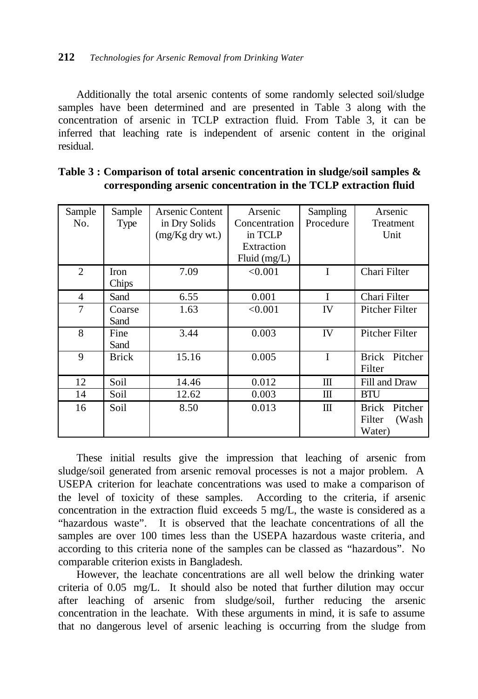#### **212** *Technologies for Arsenic Removal from Drinking Water*

Additionally the total arsenic contents of some randomly selected soil/sludge samples have been determined and are presented in Table 3 along with the concentration of arsenic in TCLP extraction fluid. From Table 3, it can be inferred that leaching rate is independent of arsenic content in the original residual.

| Sample           | Sample       | Arsenic Content   | Arsenic        | Sampling  | Arsenic                 |
|------------------|--------------|-------------------|----------------|-----------|-------------------------|
| N <sub>0</sub> . | Type         | in Dry Solids     | Concentration  | Procedure | Treatment               |
|                  |              | $(mg/Kg$ dry wt.) | in TCLP        |           | Unit                    |
|                  |              |                   | Extraction     |           |                         |
|                  |              |                   | Fluid $(mg/L)$ |           |                         |
|                  |              |                   |                |           |                         |
| $\mathfrak{D}$   | <b>Iron</b>  | 7.09              | < 0.001        | I         | Chari Filter            |
|                  | Chips        |                   |                |           |                         |
| 4                | Sand         | 6.55              | 0.001          | I         | Chari Filter            |
| 7                | Coarse       | 1.63              | < 0.001        | IV        | Pitcher Filter          |
|                  | Sand         |                   |                |           |                         |
| 8                | Fine         | 3.44              | 0.003          | IV        | Pitcher Filter          |
|                  | Sand         |                   |                |           |                         |
| 9                | <b>Brick</b> | 15.16             | 0.005          | I         | <b>Brick</b><br>Pitcher |
|                  |              |                   |                |           | Filter                  |
| 12               | Soil         | 14.46             | 0.012          | Ш         | Fill and Draw           |
| 14               | Soil         | 12.62             | 0.003          | Ш         | <b>BTU</b>              |
| 16               | Soil         | 8.50              | 0.013          | Ш         | Pitcher<br><b>Brick</b> |
|                  |              |                   |                |           | Filter<br>(Wash)        |
|                  |              |                   |                |           | Water)                  |
|                  |              |                   |                |           |                         |

| Table 3 : Comparison of total arsenic concentration in sludge/soil samples $\&$ |  |  |  |  |
|---------------------------------------------------------------------------------|--|--|--|--|
| corresponding arsenic concentration in the TCLP extraction fluid                |  |  |  |  |

These initial results give the impression that leaching of arsenic from sludge/soil generated from arsenic removal processes is not a major problem. A USEPA criterion for leachate concentrations was used to make a comparison of the level of toxicity of these samples. According to the criteria, if arsenic concentration in the extraction fluid exceeds 5 mg/L, the waste is considered as a "hazardous waste". It is observed that the leachate concentrations of all the samples are over 100 times less than the USEPA hazardous waste criteria, and according to this criteria none of the samples can be classed as "hazardous". No comparable criterion exists in Bangladesh.

However, the leachate concentrations are all well below the drinking water criteria of 0.05 mg/L. It should also be noted that further dilution may occur after leaching of arsenic from sludge/soil, further reducing the arsenic concentration in the leachate. With these arguments in mind, it is safe to assume that no dangerous level of arsenic leaching is occurring from the sludge from